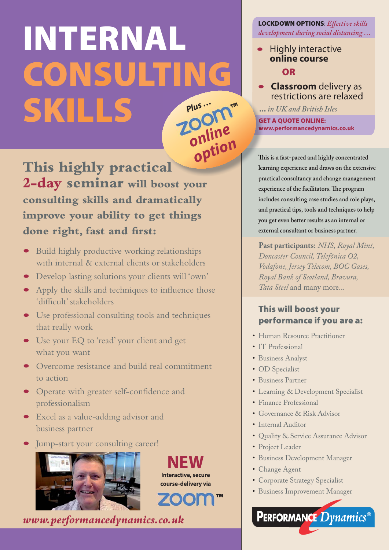# **INTERNAL CONSULTING SKILLS** *Plus … online ™*

This highly practical

lea **2-day seminar will boost your consulting skills and dramatically improve your ability to get things done right, fast and first:** *option*

- Build highly productive working relationships with internal & external clients or stakeholders
- Develop lasting solutions your clients will 'own'
- Apply the skills and techniques to influence those 'difficult' stakeholders
- Use professional consulting tools and techniques that really work
- Use your EQ to 'read' your client and get what you want
- Overcome resistance and build real commitment to action
- Operate with greater self-confidence and professionalism
- Excel as a value-adding advisor and business partner
- Jump-start your consulting career!



**NEW Interactive, secure course-delivery via**

*www.performancedynamics.co.uk*

### **LOCKDOWN OPTIONS**: *Effective skills development during social distancing …*

- Highly interactive **online course OR**
- **Classroom** delivery as restrictions are relaxed

**…** *in UK and British Isles*

**GET A QUOTE ONLINE: GE www.performancedynamics.co.uk ww**

**This is a fast-paced and highly concentrated Th learning experience and draws on the extensive practical consultancy and change management experience of the facilitators. The program includes consulting case studies and role plays, and practical tips, tools and techniques to help you get even better results as an internal or external consultant or business partner.**

**Past participants:** *NHS, Royal Mint, Doncaster Council, Telefónica O2, Vodafone, Jersey Telecom, BOC Gases, Royal Bank of Scotland, Bravura, Tata Steel* and many more...

# **This will boost your performance if you are a:**

- Human Resource Practitioner
- IT Professional
- Business Analyst
- OD Specialist
- Business Partner
- Learning & Development Specialist
- Finance Professional
- Governance & Risk Advisor
- Internal Auditor
- Quality & Service Assurance Advisor
- Project Leader
- Business Development Manager
- Change Agent
- Corporate Strategy Specialist
- Business Improvement Manager

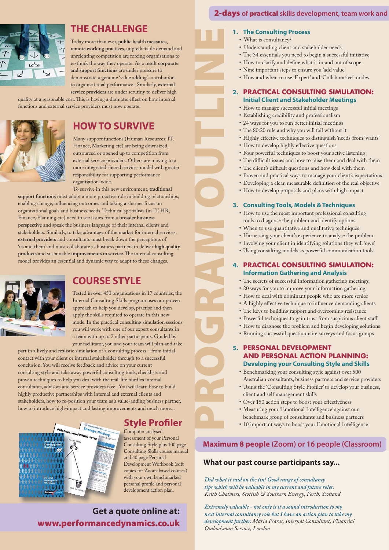

### **THE CHALLENGE**

Today more than ever, public health measures, remote working practices, unpredictable demand and unrelenting competition are forcing organisations to re-think the way they operate. As a result corporate and support functions are under pressure to demonstrate a genuine 'value adding' contribution to organisational performance. Similarly, external service providers are under scrutiny to deliver high

quality at a reasonable cost. This is having a dramatic effect on how internal functions and external service providers must now operate.



# **HOW TO SURVIVE**

Many support functions (Human Resources, IT, Finance, Marketing etc) are being downsized, outsourced or opened up to competition from external service providers. Others are moving to a more integrated shared services model with greater responsibility for supporting performance organisation-wide.

To survive in this new environment, traditional support functions must adopt a more proactive role in building relationships, enabling change, influencing outcomes and taking a sharper focus on organisational goals and business needs. Technical specialists (in IT, HR, Finance, Planning etc) need to see issues from a **broader business** perspective and speak the business language of their internal clients and stakeholders. Similarly, to take advantage of the market for internal services, external providers and consultants must break down the perceptions of 'us and them' and must collaborate as business partners to deliver high quality products and sustainable improvements in service. The internal consulting model provides an essential and dynamic way to adapt to these changes.



# **COURSE STYLE**

Tested in over 450 organisations in 17 countries, the Internal Consulting Skills program uses our proven approach to help you develop, practise and then apply the skills required to operate in this new mode. In the practical consulting simulation sessions you will work with one of our expert consultants in a team with up to 7 other participants. Guided by your facilitator, you and your team will plan and take

part in a lively and realistic simulation of a consulting process - from initial contact with your client or internal stakeholder through to a successful conclusion. You will receive feedback and advice on your current consulting style and take away powerful consulting tools, checklists and proven techniques to help you deal with the real-life hurdles internal consultants, advisors and service providers face. You will learn how to build highly productive partnerships with internal and external clients and stakeholders, how to re-position your team as a value-adding business partner, how to introduce high-impact and lasting improvements and much more...

# **Style Profiler**

Computer analysed assessment of your Personal Consulting Style plus 100 page Consulting Skills course manual and 40 page Personal Development Workbook (soft copies for Zoom-based courses) with your own benchmarked personal profile and personal development action plan.

**Get a quote online at: www.performancedynamics.co.uk** 

### **2-days of practical skills development, team work and**

### **1. The Consulting Process**

- What is consultancy?
- Understanding client and stakeholder needs
- The 34 essentials you need to begin a successful initiative
- How to clarify and define what is in and out of scope
- Nine important steps to ensure you 'add value'
- How and when to use 'Expert' and 'Collaborative' modes

#### **2. PRACTICAL CONSULTING SIMULATION: Initial Client and Stakeholder Meetings**

- How to manage successful initial meetings
- Establishing credibility and professionalism
- 24 ways for you to run better initial meetings
- The 80:20 rule and why you will fail without it
- Highly effective techniques to distinguish 'needs' from 'wants'
- How to develop highly effective questions
- Four powerful techniques to boost your active listening
- The difficult issues and how to raise them and deal with them
- The client's difficult questions and how deal with them
- Proven and practical ways to manage your client's expectations
- Developing a clear, measurable definition of the real objective
- How to develop proposals and plans with high impact

#### **3. Consulting Tools, Models & Techniques**

- How to use the most important professional consulting tools to diagnose the problem and identify options
- When to use quantitative and qualitative techniques

PROGRAM OUTLINE

- Harnessing your client's experience to analyse the problem
- Involving your client in identifying solutions they will 'own'
- Using consulting models as powerful communication tools

#### **4. PRACTICAL CONSULTING SIMULATION: Information Gathering and Analysis**

- The secrets of successful information gathering meetings
- 20 ways for you to improve your information gathering
- How to deal with dominant people who are more senior
- A highly effective technique to influence demanding clients
- The keys to building rapport and overcoming resistance
- Powerful techniques to gain trust from suspicious client staff
- How to diagnose the problem and begin developing solutions
- Running successful questionnaire surveys and focus groups

#### **5. PERSONAL DEVELOPMENT AND PERSONAL ACTION PLANNING: Developing your Consulting Style and Skills**

- Benchmarking your consulting style against over 500 Australian consultants, business partners and service providers
	- Using the 'Consulting Style Profiler' to develop your business, client and self management skills
		- Over 150 action steps to boost your effectiveness
	- Measuring your 'Emotional Intelligence' against our benchmark group of consultants and business partners
	- 10 important ways to boost your Emotional Intelligence

### **Maximum 8 people (Zoom) or 16 people (Classroom)**

### **What our past course participants say...**

*Did what it said on the tin! Good range of consultancy tips which will be valuable in my current and future roles. Keith Chalmers, Scottish & Southern Energy, Perth, Scotland*

*Extremely valuable - not only is it a sound introduction to my next internal consultancy role but I have an action plan to take my development further. Maria Psaras, Internal Consultant, Financial Ombudsman Service, London*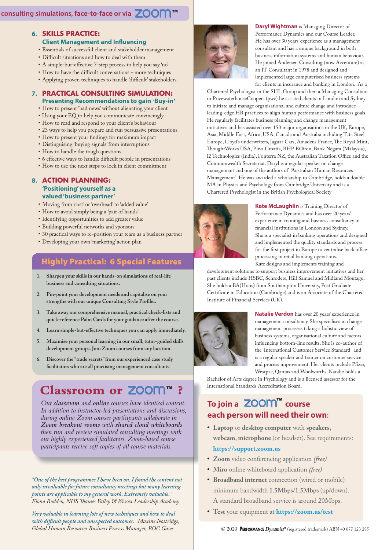### **consulting simulations, face-to-face or via** *™*

#### **6. SKILLS PRACTICE: Client Management and Influencing**

- Essentials of successful client and stakeholder management
- Difficult situations and how to deal with them
- A simple-but-effective 7-step process to help you say 'no'
- How to have the difficult conversations more techniques
- Applying proven techniques to handle 'difficult' stakeholders

#### **7. PRACTICAL CONSULTING SIMULATION: Presenting Recommendations to gain 'Buy-in'**

- How to present 'bad news' without alienating your client
- Using your EQ to help you communicate convincingly
- How to read and respond to your client's behaviour
- 23 ways to help you prepare and run persuasive presentations
- How to present your findings for maximum impact
- Distinguising 'buying signals' from interruptions
- How to handle the tough questions
- 6 effective ways to handle difficult people in presentations
- How to use the next steps to lock in client commitment

#### **8. ACTION PLANNING: 'Positioning' yourself as a valued 'business partner'**

- Moving from 'cost' or 'overhead' to 'added value'
- How to avoid simply being a 'pair of hands'
- Identifying opportunities to add greater value
- Building powerful networks and sponsors
	- \* 30 practical ways to re-position your team as a business partner
	- Developing your own 'marketing' action plan

## **Highly Practical: 6 Special Features**

- **1. Sharpen your skills in our hands-on simulations of real-life business and consulting situations.**
- **2. Pin-point your development needs and capitalise on your strengths with our unique Consulting Style Profiler.**
- **3. Take away our comprehensive manual, practical check-lists and quick-reference Palm Cards for your guidance after the course.**
- **4. Learn simple-but-effective techniques you can apply immediately.**
- **5. Maximise your personal learning in our small, tutor-guided skills development groups. Join Zoom courses from any location.**
- **6. Discover the "trade secrets" from our experienced case study facilitators who are all practising management consultants.**

# ),8 **Classroom or** *™* **?**

*Our classroom and online courses have identical content. In addition to instructor-led presentations and discussions, during online Zoom courses participants collaborate in Zoom breakout rooms with shared cloud whiteboards then run and review simulated consulting meetings with our highly experienced facilitators. Zoom-based course participants receive soft copies of all course materials.*

*"One of the best programmes I have been on. I found the content not only invaluable for future consultancy meetings but many learning points are applicable to my general work. Extremely valuable." Fiona Rodden, NHS Thames Valley & Wessex Leadership Academy*

*Very valuable in learning lots of new techniques and how to deal with difficult people and unexpected outcomes. Maxine Nottridge, Global Human Resources Business Process Manager, BOC Gases* 



**Daryl Wightman** is Managing Director of Performance Dynamics and our Course Leader. He has over 30 years' experience as a management consultant and has a unique background in both business information systems and human behaviour. He joined Andersen Consulting (now Accenture) as an IT Consultant in 1978 and designed and implemented large computerised business systems for clients in insurance and banking in London. As a

Chartered Psychologist in the SHL Group and then a Managing Consultant in PricewaterhouseCoopers (pwc) he assisted clients in London and Sydney to initiate and manage organisational and culture change and introduce leading-edge HR practices to align human performance with business goals. He regularly facilitates business planning and change management initiatives and has assisted over 150 major organisations in the UK, Europe, Asia, Middle East, Africa, USA, Canada and Australia including Tata Steel Europe, Lloyd's underwriters, Jaguar Cars, Amadeus France, The Royal Mint, ThoughtWorks USA, Pliva Croatia, BHP Billiton, Bank Negara (Malaysia), i2 Technologies (India), Fonterra NZ, the Australian Taxation Office and the Commonwealth Secretariat. Daryl is a regular speaker on change management and one of the authors of 'Australian Human Resources Management'. He was awarded a scholarship to Cambridge, holds a double MA in Physics and Psychology from Cambridge University and is a Chartered Psychologist in the British Psychological Society



**Kate McLaughlin** is Training Director of Performance Dynamics and has over 20 years' experience in training and business consultancy in financial institutions in London and Sydney. She is a specialist in banking operations and designed and implemented the quality standards and process for the first project in Europe to centralise back office processing in retail banking operations. Kate designs and implements training and

development solutions to support business improvement initiatives and her past clients include HSBC, Schroders, Hill Samuel and Midland Montagu. She holds a BA(Hons) from Southampton University, Post Graduate Certificate in Education (Cambridge) and is an Associate of the Chartered Institute of Financial Services (UK).



**Natalie Verdon** has over 20 years' experience in management consultancy. She specialises in change management processes taking a holistic view of business systems, organisational culture and factors influencing bottom-line results. She is co-author of the 'International Customer Service Standard' and is a regular speaker and trainer on customer service and process improvement. Her clients include Pfizer, Westpac, Qantas and Woolworths. Natalie holds a

Bachelor of Arts degree in Psychology and is a licensed assessor for the International Standards Accreditation Board.

# **To join a course** *™* **each person will need their own**:

- Laptop or desktop computer with speakers, webcam, microphone (or headset). See requirements: **https://support.zoom.us**
- Zoom video conferencing application (free)
- Miro online whiteboard application (free)
- **Broadband internet** connection (wired or mobile) minimum bandwidth 1.5Mbps/1.5Mbps (up/down). A standard broadband service is around 20Mbps.
- Test your equipment at https://zoom.us/test